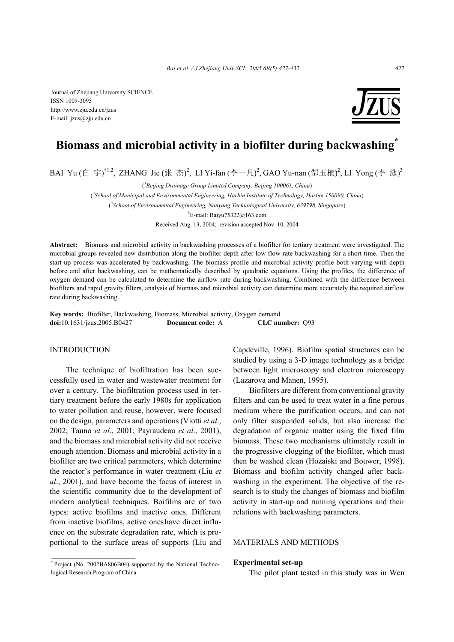Journal of Zhejiang University SCIENCE ISSN 1009-3095 http://www.zju.edu.cn/jzus E-mail: jzus@zju.edu.cn



# **Biomass and microbial activity in a biofilter during backwashing\***

BAI Yu (白 宇)<sup>†1,2</sup>, ZHANG Jie (张 杰)<sup>2</sup>, LI Yi-fan (李一凡)<sup>2</sup>, GAO Yu-nan (郜玉楠)<sup>2</sup>, LI Yong (李 泳)<sup>3</sup>

( *1 Beijing Drainage Group Limited Company, Beijing 100061, China*)

( *2 School of Municipal and Environmental Engineering, Harbin Institute of Technology, Harbin 150090, China*)

( *3 School of Environmental Engineering, Nanyang Technological University, 639798, Singapore*)

† E-mail: Baiyu75322@163.com

Received Aug. 13, 2004; revision accepted Nov. 10, 2004

**Abstract:** Biomass and microbial activity in backwashing processes of a biofilter for tertiary treatment were investigated. The microbial groups revealed new distribution along the biofilter depth after low flow rate backwashing for a short time. Then the start-up process was accelerated by backwashing. The biomass profile and microbial activity profile both varying with depth before and after backwashing, can be mathematically described by quadratic equations. Using the profiles, the difference of oxygen demand can be calculated to determine the airflow rate during backwashing. Combined with the difference between biofilters and rapid gravity filters, analysis of biomass and microbial activity can determine more accurately the required airflow rate during backwashing.

**Key words:** Biofilter, Backwashing, Biomass, Microbial activity, Oxygen demand **doi:**10.1631/jzus.2005.B0427 **Document code:** A **CLC number:** Q93

## INTRODUCTION

The technique of biofiltration has been successfully used in water and wastewater treatment for over a century. The biofiltration process used in tertiary treatment before the early 1980s for application to water pollution and reuse, however, were focused on the design, parameters and operations (Viotti *et al*., 2002; Tauno *et al*., 2001; Payraudeau *et al*., 2001), and the biomass and microbial activity did not receive enough attention. Biomass and microbial activity in a biofilter are two critical parameters, which determine the reactor's performance in water treatment (Liu *et al*., 2001), and have become the focus of interest in the scientific community due to the development of modern analytical techniques. Boifilms are of two types: active biofilms and inactive ones. Different from inactive biofilms, active oneshave direct influence on the substrate degradation rate, which is proportional to the surface areas of supports (Liu and

\* Project (No. 2002BA806B04) supported by the National Technological Research Program of China

Capdeville, 1996). Biofilm spatial structures can be studied by using a 3-D image technology as a bridge between light microscopy and electron microscopy (Lazarova and Manen, 1995).

Biofilters are different from conventional gravity filters and can be used to treat water in a fine porous medium where the purification occurs, and can not only filter suspended solids, but also increase the degradation of organic matter using the fixed film biomass. These two mechanisms ultimately result in the progressive clogging of the biofilter, which must then be washed clean (Hozaiski and Bouwer, 1998). Biomass and biofilm activity changed after backwashing in the experiment. The objective of the research is to study the changes of biomass and biofilm activity in start-up and running operations and their relations with backwashing parameters.

## MATERIALS AND METHODS

# **Experimental set-up**

The pilot plant tested in this study was in Wen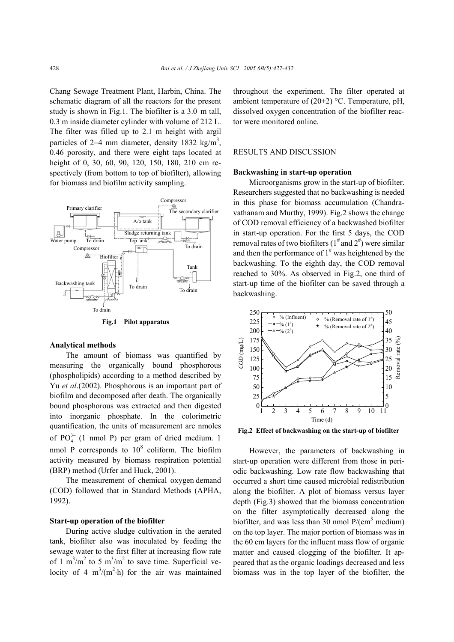Chang Sewage Treatment Plant, Harbin, China. The schematic diagram of all the reactors for the present study is shown in Fig.1. The biofilter is a 3.0 m tall, 0.3 m inside diameter cylinder with volume of 212 L. The filter was filled up to 2.1 m height with argil particles of 2–4 mm diameter, density 1832 kg/m<sup>3</sup>, 0.46 porosity, and there were eight taps located at height of 0, 30, 60, 90, 120, 150, 180, 210 cm respectively (from bottom to top of biofilter), allowing for biomass and biofilm activity sampling.



**Fig.1 Pilot apparatus**

### **Analytical methods**

The amount of biomass was quantified by measuring the organically bound phosphorous (phospholipids) according to a method described by Yu *et al*.(2002). Phosphorous is an important part of biofilm and decomposed after death. The organically bound phosphorous was extracted and then digested into inorganic phosphate. In the colorimetric quantification, the units of measurement are nmoles of  $PO_4^{3-}$  (1 nmol P) per gram of dried medium. 1 nmol P corresponds to  $10^8$  coliform. The biofilm activity measured by biomass respiration potential (BRP) method (Urfer and Huck, 2001).

The measurement of chemical oxygen demand (COD) followed that in Standard Methods (APHA, 1992).

## **Start-up operation of the biofilter**

During active sludge cultivation in the aerated tank, biofilter also was inoculated by feeding the sewage water to the first filter at increasing flow rate of 1 m<sup>3</sup>/m<sup>2</sup> to 5 m<sup>3</sup>/m<sup>2</sup> to save time. Superficial velocity of 4  $m^3/(m^2 \cdot h)$  for the air was maintained throughout the experiment. The filter operated at ambient temperature of  $(20\pm 2)$  °C. Temperature, pH, dissolved oxygen concentration of the biofilter reactor were monitored online.

#### RESULTS AND DISCUSSION

#### **Backwashing in start-up operation**

Microorganisms grow in the start-up of biofilter. Researchers suggested that no backwashing is needed in this phase for biomass accumulation (Chandravathanam and Murthy, 1999). Fig.2 shows the change of COD removal efficiency of a backwashed biofilter in start-up operation. For the first 5 days, the COD removal rates of two biofilters ( $1^{\#}$  and  $2^{\#}$ ) were similar and then the performance of  $1^{\#}$  was heightened by the backwashing. To the eighth day, the COD removal reached to 30%. As observed in Fig.2, one third of start-up time of the biofilter can be saved through a backwashing.



However, the parameters of backwashing in start-up operation were different from those in periodic backwashing. Low rate flow backwashing that occurred a short time caused microbial redistribution along the biofilter. A plot of biomass versus layer depth (Fig.3) showed that the biomass concentration on the filter asymptotically decreased along the biofilter, and was less than 30 nmol  $P/(cm^3 \text{ medium})$ on the top layer. The major portion of biomass was in the 60 cm layers for the influent mass flow of organic matter and caused clogging of the biofilter. It appeared that as the organic loadings decreased and less biomass was in the top layer of the biofilter, the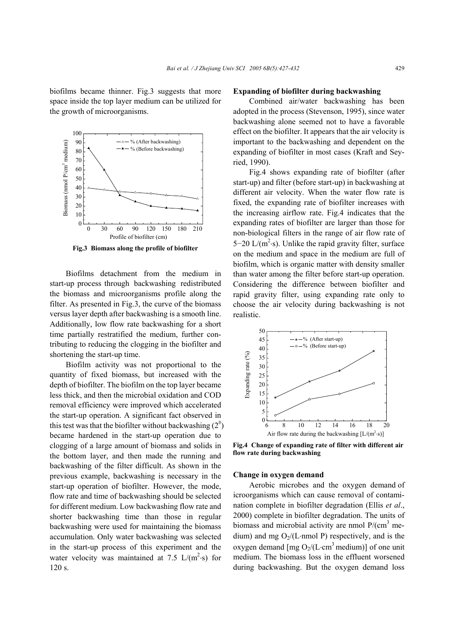biofilms became thinner. Fig.3 suggests that more space inside the top layer medium can be utilized for the growth of microorganisms.



**Fig.3 Biomass along the profile of biofilter**

Biofilms detachment from the medium in start-up process through backwashing redistributed the biomass and microorganisms profile along the filter. As presented in Fig.3, the curve of the biomass versus layer depth after backwashing is a smooth line. Additionally, low flow rate backwashing for a short time partially restratified the medium, further contributing to reducing the clogging in the biofilter and shortening the start-up time.

Biofilm activity was not proportional to the quantity of fixed biomass, but increased with the depth of biofilter. The biofilm on the top layer became less thick, and then the microbial oxidation and COD removal efficiency were improved which accelerated the start-up operation. A significant fact observed in this test was that the biofilter without backwashing  $(2^{\#})$ became hardened in the start-up operation due to clogging of a large amount of biomass and solids in the bottom layer, and then made the running and backwashing of the filter difficult. As shown in the previous example, backwashing is necessary in the start-up operation of biofilter. However, the mode, flow rate and time of backwashing should be selected for different medium. Low backwashing flow rate and shorter backwashing time than those in regular backwashing were used for maintaining the biomass accumulation. Only water backwashing was selected in the start-up process of this experiment and the water velocity was maintained at 7.5  $L/(m^2 \cdot s)$  for 120 s.

# **Expanding of biofilter during backwashing**

Combined air/water backwashing has been adopted in the process (Stevenson, 1995), since water backwashing alone seemed not to have a favorable effect on the biofilter. It appears that the air velocity is important to the backwashing and dependent on the expanding of biofilter in most cases (Kraft and Seyried, 1990).

Fig.4 shows expanding rate of biofilter (after start-up) and filter (before start-up) in backwashing at different air velocity. When the water flow rate is fixed, the expanding rate of biofilter increases with the increasing airflow rate. Fig.4 indicates that the expanding rates of biofilter are larger than those for non-biological filters in the range of air flow rate of 5–20 L/ $(m^2 \cdot s)$ . Unlike the rapid gravity filter, surface on the medium and space in the medium are full of biofilm, which is organic matter with density smaller than water among the filter before start-up operation. Considering the difference between biofilter and rapid gravity filter, using expanding rate only to choose the air velocity during backwashing is not realistic.



**Fig.4 Change of expanding rate of filter with different air flow rate during backwashing** 

### **Change in oxygen demand**

Aerobic microbes and the oxygen demand of icroorganisms which can cause removal of contamination complete in biofilter degradation (Ellis *et al*., 2000) complete in biofilter degradation. The units of biomass and microbial activity are nmol  $P/(cm^3$  medium) and mg  $O<sub>2</sub>/(L·nmol)$  p respectively, and is the oxygen demand [mg  $O_2/(L \cdot cm^3 \text{ medium})$ ] of one unit medium. The biomass loss in the effluent worsened during backwashing. But the oxygen demand loss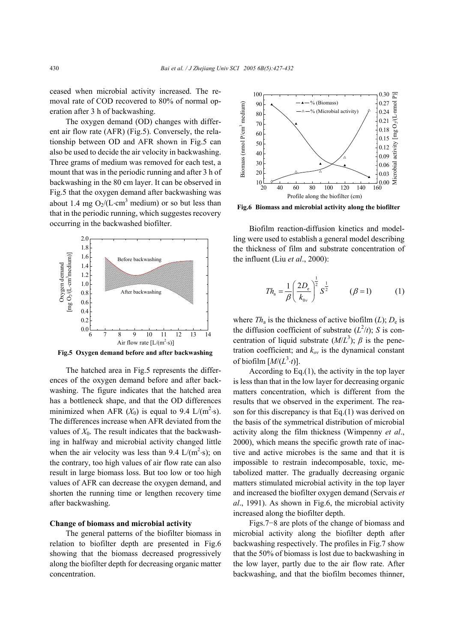ceased when microbial activity increased. The removal rate of COD recovered to 80% of normal operation after 3 h of backwashing.

The oxygen demand (OD) changes with different air flow rate (AFR) (Fig.5). Conversely, the relationship between OD and AFR shown in Fig.5 can also be used to decide the air velocity in backwashing. Three grams of medium was removed for each test, a mount that was in the periodic running and after 3 h of backwashing in the 80 cm layer. It can be observed in Fig.5 that the oxygen demand after backwashing was about 1.4 mg  $O_2/(L \cdot cm^3 \text{ medium})$  or so but less than that in the periodic running, which suggestes recovery occurring in the backwashed biofilter.



**Fig.5 Oxygen demand before and after backwashing**

The hatched area in Fig.5 represents the differences of the oxygen demand before and after backwashing. The figure indicates that the hatched area has a bottleneck shape, and that the OD differences minimized when AFR  $(X_0)$  is equal to 9.4 L/(m<sup>2</sup>·s). The differences increase when AFR deviated from the values of  $X_0$ . The result indicates that the backwashing in halfway and microbial activity changed little when the air velocity was less than 9.4  $L/(m^2 \cdot s)$ ; on the contrary, too high values of air flow rate can also result in large biomass loss. But too low or too high values of AFR can decrease the oxygen demand, and shorten the running time or lengthen recovery time after backwashing.

#### **Change of biomass and microbial activity**

The general patterns of the biofilter biomass in relation to biofilter depth are presented in Fig.6 showing that the biomass decreased progressively along the biofilter depth for decreasing organic matter concentration.



**Fig.6 Biomass and microbial activity along the biofilter**

Biofilm reaction-diffusion kinetics and modelling were used to establish a general model describing the thickness of film and substrate concentration of the influent (Liu *et al*., 2000):

$$
Th_{a} = \frac{1}{\beta} \left(\frac{2D_{e}}{k_{0v}}\right)^{\frac{1}{2}} S^{\frac{1}{2}}
$$
  $(\beta = 1)$  (1)

where  $Th_a$  is the thickness of active biofilm (*L*);  $D_e$  is the diffusion coefficient of substrate  $(L^2/t)$ ; *S* is concentration of liquid substrate  $(M/L^3)$ ;  $\beta$  is the penetration coefficient; and  $k_{ov}$  is the dynamical constant of biofilm  $[M/(L^3 \cdot t)].$ 

According to Eq.(1), the activity in the top layer is less than that in the low layer for decreasing organic matters concentration, which is different from the results that we observed in the experiment. The reason for this discrepancy is that Eq.(1) was derived on the basis of the symmetrical distribution of microbial activity along the film thickness (Wimpenny *et al*., 2000), which means the specific growth rate of inactive and active microbes is the same and that it is impossible to restrain indecomposable, toxic, metabolized matter. The gradually decreasing organic matters stimulated microbial activity in the top layer and increased the biofilter oxygen demand (Servais *et al*., 1991). As shown in Fig.6, the microbial activity increased along the biofilter depth.

Figs.7−8 are plots of the change of biomass and microbial activity along the biofilter depth after backwashing respectively. The profiles in Fig.7 show that the 50% of biomass is lost due to backwashing in the low layer, partly due to the air flow rate. After backwashing, and that the biofilm becomes thinner,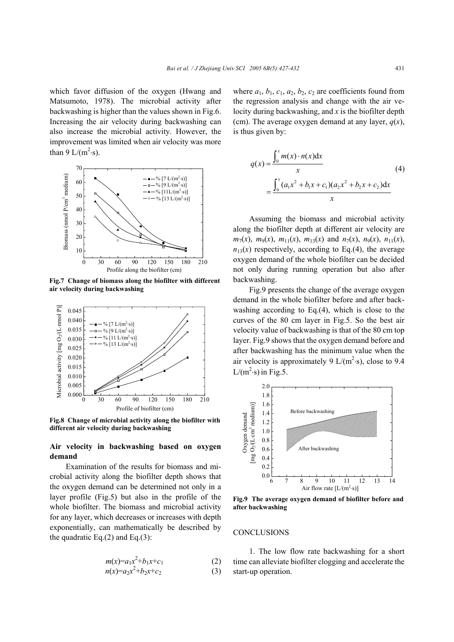which favor diffusion of the oxygen (Hwang and Matsumoto, 1978). The microbial activity after backwashing is higher than the values shown in Fig.6. Increasing the air velocity during backwashing can also increase the microbial activity. However, the improvement was limited when air velocity was more than 9  $L/(m^2 \cdot s)$ .



**Fig.7 Change of biomass along the biofilter with different air velocity during backwashing**



**Fig.8 Change of microbial activity along the biofilter with different air velocity during backwashing** 

# **Air velocity in backwashing based on oxygen demand**

Examination of the results for biomass and microbial activity along the biofilter depth shows that the oxygen demand can be determined not only in a layer profile (Fig.5) but also in the profile of the whole biofilter. The biomass and microbial activity for any layer, which decreases or increases with depth exponentially, can mathematically be described by the quadratic Eq. $(2)$  and Eq. $(3)$ :

$$
m(x)=a_1x^2+b_1x+c_1\tag{2}
$$

$$
n(x)=a_2x^2+b_2x+c_2 \tag{3}
$$

where  $a_1$ ,  $b_1$ ,  $c_1$ ,  $a_2$ ,  $b_2$ ,  $c_2$  are coefficients found from the regression analysis and change with the air velocity during backwashing, and *x* is the biofilter depth (cm). The average oxygen demand at any layer,  $q(x)$ , is thus given by:

$$
q(x) = \frac{\int_0^x m(x) \cdot n(x) dx}{x}
$$
  
= 
$$
\frac{\int_0^x (a_1 x^2 + b_1 x + c_1)(a_2 x^2 + b_2 x + c_2) dx}{x}
$$
 (4)

Assuming the biomass and microbial activity along the biofilter depth at different air velocity are  $m_7(x)$ ,  $m_9(x)$ ,  $m_{11}(x)$ ,  $m_{13}(x)$  and  $n_7(x)$ ,  $n_9(x)$ ,  $n_{11}(x)$ ,  $n_{13}(x)$  respectively, according to Eq.(4), the average oxygen demand of the whole biofilter can be decided not only during running operation but also after backwashing.

Fig.9 presents the change of the average oxygen demand in the whole biofilter before and after backwashing according to Eq.(4), which is close to the curves of the 80 cm layer in Fig.5. So the best air velocity value of backwashing is that of the 80 cm top layer. Fig.9 shows that the oxygen demand before and after backwashing has the minimum value when the air velocity is approximately 9  $L/(m^2 \cdot s)$ , close to 9.4  $L/(m^2 \cdot s)$  in Fig.5.



**Fig.9 The average oxygen demand of biofilter before and after backwashing**

#### **CONCLUSIONS**

1. The low flow rate backwashing for a short time can alleviate biofilter clogging and accelerate the start-up operation.